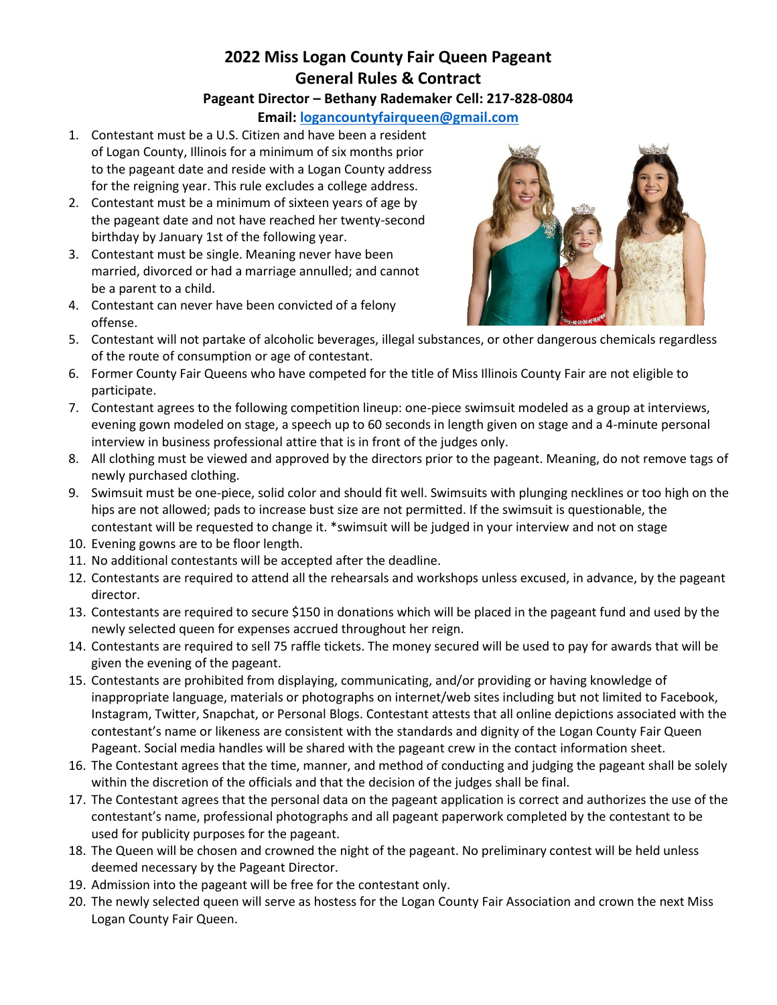## **2022 Miss Logan County Fair Queen Pageant General Rules & Contract**

#### **Pageant Director – Bethany Rademaker Cell: 217-828-0804**

**Email: [logancountyfairqueen@gmail.com](mailto:logancountyfairqueen@gmail.com)**

- 1. Contestant must be a U.S. Citizen and have been a resident of Logan County, Illinois for a minimum of six months prior to the pageant date and reside with a Logan County address for the reigning year. This rule excludes a college address.
- 2. Contestant must be a minimum of sixteen years of age by the pageant date and not have reached her twenty-second birthday by January 1st of the following year.
- 3. Contestant must be single. Meaning never have been married, divorced or had a marriage annulled; and cannot be a parent to a child.
- 4. Contestant can never have been convicted of a felony offense.



- 5. Contestant will not partake of alcoholic beverages, illegal substances, or other dangerous chemicals regardless of the route of consumption or age of contestant.
- 6. Former County Fair Queens who have competed for the title of Miss Illinois County Fair are not eligible to participate.
- 7. Contestant agrees to the following competition lineup: one-piece swimsuit modeled as a group at interviews, evening gown modeled on stage, a speech up to 60 seconds in length given on stage and a 4-minute personal interview in business professional attire that is in front of the judges only.
- 8. All clothing must be viewed and approved by the directors prior to the pageant. Meaning, do not remove tags of newly purchased clothing.
- 9. Swimsuit must be one-piece, solid color and should fit well. Swimsuits with plunging necklines or too high on the hips are not allowed; pads to increase bust size are not permitted. If the swimsuit is questionable, the contestant will be requested to change it. \*swimsuit will be judged in your interview and not on stage
- 10. Evening gowns are to be floor length.
- 11. No additional contestants will be accepted after the deadline.
- 12. Contestants are required to attend all the rehearsals and workshops unless excused, in advance, by the pageant director.
- 13. Contestants are required to secure \$150 in donations which will be placed in the pageant fund and used by the newly selected queen for expenses accrued throughout her reign.
- 14. Contestants are required to sell 75 raffle tickets. The money secured will be used to pay for awards that will be given the evening of the pageant.
- 15. Contestants are prohibited from displaying, communicating, and/or providing or having knowledge of inappropriate language, materials or photographs on internet/web sites including but not limited to Facebook, Instagram, Twitter, Snapchat, or Personal Blogs. Contestant attests that all online depictions associated with the contestant's name or likeness are consistent with the standards and dignity of the Logan County Fair Queen Pageant. Social media handles will be shared with the pageant crew in the contact information sheet.
- 16. The Contestant agrees that the time, manner, and method of conducting and judging the pageant shall be solely within the discretion of the officials and that the decision of the judges shall be final.
- 17. The Contestant agrees that the personal data on the pageant application is correct and authorizes the use of the contestant's name, professional photographs and all pageant paperwork completed by the contestant to be used for publicity purposes for the pageant.
- 18. The Queen will be chosen and crowned the night of the pageant. No preliminary contest will be held unless deemed necessary by the Pageant Director.
- 19. Admission into the pageant will be free for the contestant only.
- 20. The newly selected queen will serve as hostess for the Logan County Fair Association and crown the next Miss Logan County Fair Queen.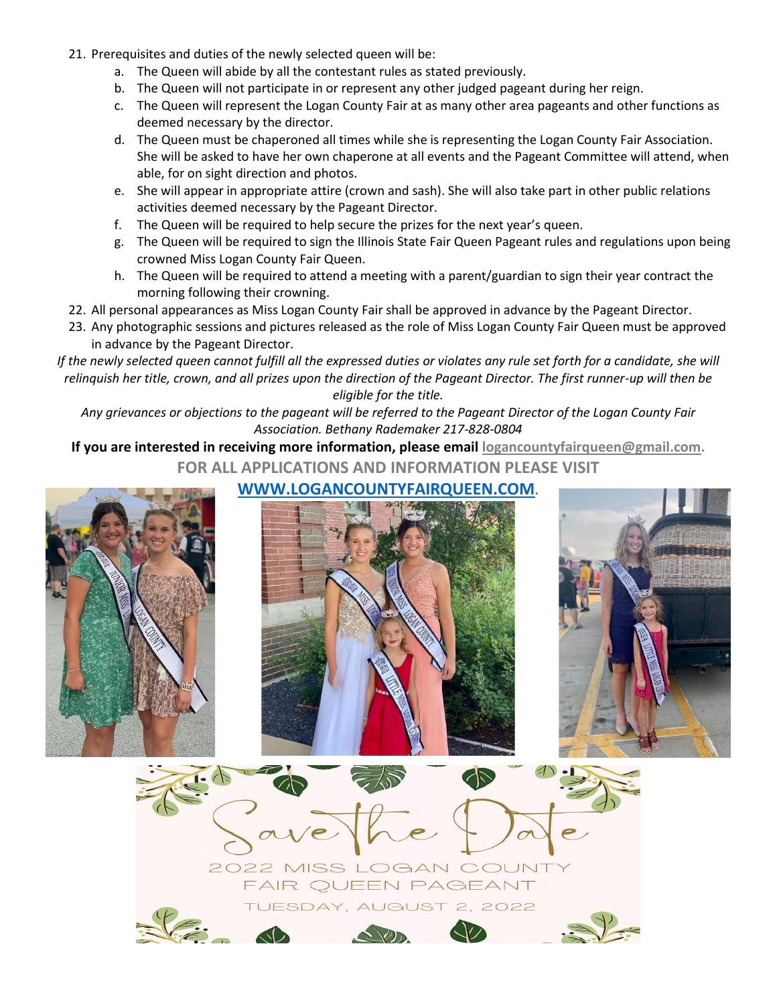- 21. Prerequisites and duties of the newly selected queen will be:
	- a. The Queen will abide by all the contestant rules as stated previously.
	- b. The Queen will not participate in or represent any other judged pageant during her reign.
	- c. The Queen will represent the Logan County Fair at as many other area pageants and other functions as deemed necessary by the director.
	- d. The Queen must be chaperoned all times while she is representing the Logan County Fair Association. She will be asked to have her own chaperone at all events and the Pageant Committee will attend, when able, for on sight direction and photos.
	- e. She will appear in appropriate attire (crown and sash). She will also take part in other public relations activities deemed necessary by the Pageant Director.
	- f. The Queen will be required to help secure the prizes for the next year's queen.
	- g. The Queen will be required to sign the Illinois State Fair Queen Pageant rules and regulations upon being crowned Miss Logan County Fair Queen.
	- h. The Queen will be required to attend a meeting with a parent/guardian to sign their year contract the morning following their crowning.
- 22. All personal appearances as Miss Logan County Fair shall be approved in advance by the Pageant Director.
- 23. Any photographic sessions and pictures released as the role of Miss Logan County Fair Queen must be approved in advance by the Pageant Director.

*If the newly selected queen cannot fulfill all the expressed duties or violates any rule set forth for a candidate, she will relinquish her title, crown, and all prizes upon the direction of the Pageant Director. The first runner-up will then be eligible for the title.*

*Any grievances or objections to the pageant will be referred to the Pageant Director of the Logan County Fair Association. Bethany Rademaker 217-828-0804*

**If you are interested in receiving more information, please email [logancountyfairqueen@gmail.com.](mailto:logancountyfairqueen@gmail.com) FOR ALL APPLICATIONS AND INFORMATION PLEASE VISIT**

## **[WWW.LOGANCOUNTYFAIRQUEEN.COM](http://www.logancountyfairqueen.com/).**







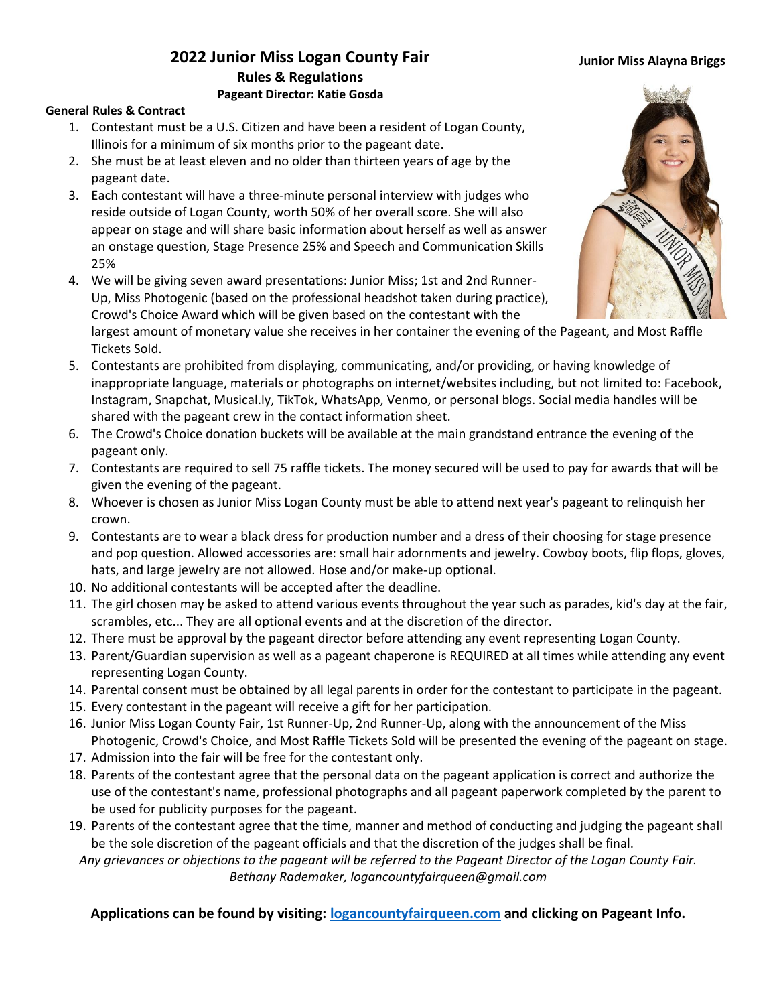#### **Junior Miss Alayna Briggs**

## **2022 Junior Miss Logan County Fair Rules & Regulations Pageant Director: Katie Gosda**

#### **General Rules & Contract**

- 1. Contestant must be a U.S. Citizen and have been a resident of Logan County, Illinois for a minimum of six months prior to the pageant date.
- 2. She must be at least eleven and no older than thirteen years of age by the pageant date.
- 3. Each contestant will have a three-minute personal interview with judges who reside outside of Logan County, worth 50% of her overall score. She will also appear on stage and will share basic information about herself as well as answer an onstage question, Stage Presence 25% and Speech and Communication Skills 25%
- 4. We will be giving seven award presentations: Junior Miss; 1st and 2nd Runner-Up, Miss Photogenic (based on the professional headshot taken during practice), Crowd's Choice Award which will be given based on the contestant with the

largest amount of monetary value she receives in her container the evening of the Pageant, and Most Raffle Tickets Sold.

- 5. Contestants are prohibited from displaying, communicating, and/or providing, or having knowledge of inappropriate language, materials or photographs on internet/websites including, but not limited to: Facebook, Instagram, Snapchat, Musical.ly, TikTok, WhatsApp, Venmo, or personal blogs. Social media handles will be shared with the pageant crew in the contact information sheet.
- 6. The Crowd's Choice donation buckets will be available at the main grandstand entrance the evening of the pageant only.
- 7. Contestants are required to sell 75 raffle tickets. The money secured will be used to pay for awards that will be given the evening of the pageant.
- 8. Whoever is chosen as Junior Miss Logan County must be able to attend next year's pageant to relinquish her crown.
- 9. Contestants are to wear a black dress for production number and a dress of their choosing for stage presence and pop question. Allowed accessories are: small hair adornments and jewelry. Cowboy boots, flip flops, gloves, hats, and large jewelry are not allowed. Hose and/or make-up optional.
- 10. No additional contestants will be accepted after the deadline.
- 11. The girl chosen may be asked to attend various events throughout the year such as parades, kid's day at the fair, scrambles, etc... They are all optional events and at the discretion of the director.
- 12. There must be approval by the pageant director before attending any event representing Logan County.
- 13. Parent/Guardian supervision as well as a pageant chaperone is REQUIRED at all times while attending any event representing Logan County.
- 14. Parental consent must be obtained by all legal parents in order for the contestant to participate in the pageant.
- 15. Every contestant in the pageant will receive a gift for her participation.
- 16. Junior Miss Logan County Fair, 1st Runner-Up, 2nd Runner-Up, along with the announcement of the Miss Photogenic, Crowd's Choice, and Most Raffle Tickets Sold will be presented the evening of the pageant on stage.
- 17. Admission into the fair will be free for the contestant only.
- 18. Parents of the contestant agree that the personal data on the pageant application is correct and authorize the use of the contestant's name, professional photographs and all pageant paperwork completed by the parent to be used for publicity purposes for the pageant.
- 19. Parents of the contestant agree that the time, manner and method of conducting and judging the pageant shall be the sole discretion of the pageant officials and that the discretion of the judges shall be final.

*Any grievances or objections to the pageant will be referred to the Pageant Director of the Logan County Fair. Bethany Rademaker, logancountyfairqueen@gmail.com*

**Applications can be found by visiting: [logancountyfairqueen.com](https://logancountyfairqueen.com/contestants/little-miss/) and clicking on Pageant Info.**

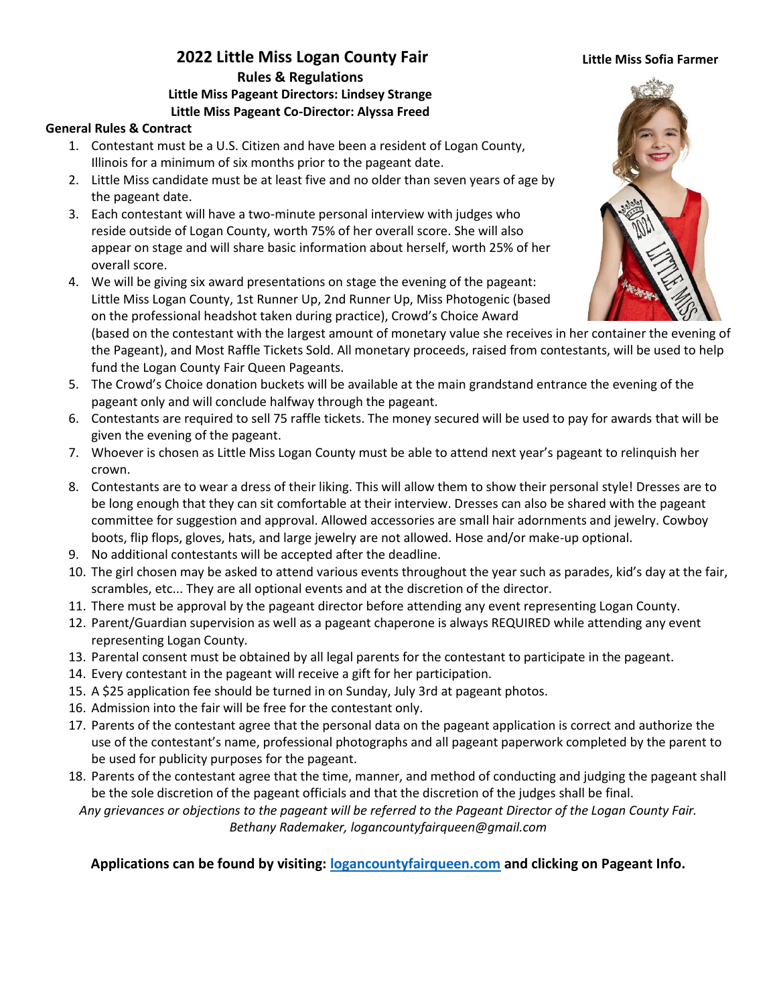#### **Little Miss Sofia Farmer**

### **2022 Little Miss Logan County Fair Rules & Regulations Little Miss Pageant Directors: Lindsey Strange Little Miss Pageant Co-Director: Alyssa Freed**

#### **General Rules & Contract**

- 1. Contestant must be a U.S. Citizen and have been a resident of Logan County, Illinois for a minimum of six months prior to the pageant date.
- 2. Little Miss candidate must be at least five and no older than seven years of age by the pageant date.
- 3. Each contestant will have a two-minute personal interview with judges who reside outside of Logan County, worth 75% of her overall score. She will also appear on stage and will share basic information about herself, worth 25% of her overall score.
- 4. We will be giving six award presentations on stage the evening of the pageant: Little Miss Logan County, 1st Runner Up, 2nd Runner Up, Miss Photogenic (based on the professional headshot taken during practice), Crowd's Choice Award



(based on the contestant with the largest amount of monetary value she receives in her container the evening of the Pageant), and Most Raffle Tickets Sold. All monetary proceeds, raised from contestants, will be used to help fund the Logan County Fair Queen Pageants.

- 5. The Crowd's Choice donation buckets will be available at the main grandstand entrance the evening of the pageant only and will conclude halfway through the pageant.
- 6. Contestants are required to sell 75 raffle tickets. The money secured will be used to pay for awards that will be given the evening of the pageant.
- 7. Whoever is chosen as Little Miss Logan County must be able to attend next year's pageant to relinquish her crown.
- 8. Contestants are to wear a dress of their liking. This will allow them to show their personal style! Dresses are to be long enough that they can sit comfortable at their interview. Dresses can also be shared with the pageant committee for suggestion and approval. Allowed accessories are small hair adornments and jewelry. Cowboy boots, flip flops, gloves, hats, and large jewelry are not allowed. Hose and/or make-up optional.
- 9. No additional contestants will be accepted after the deadline.
- 10. The girl chosen may be asked to attend various events throughout the year such as parades, kid's day at the fair, scrambles, etc... They are all optional events and at the discretion of the director.
- 11. There must be approval by the pageant director before attending any event representing Logan County.
- 12. Parent/Guardian supervision as well as a pageant chaperone is always REQUIRED while attending any event representing Logan County.
- 13. Parental consent must be obtained by all legal parents for the contestant to participate in the pageant.
- 14. Every contestant in the pageant will receive a gift for her participation.
- 15. A \$25 application fee should be turned in on Sunday, July 3rd at pageant photos.
- 16. Admission into the fair will be free for the contestant only.
- 17. Parents of the contestant agree that the personal data on the pageant application is correct and authorize the use of the contestant's name, professional photographs and all pageant paperwork completed by the parent to be used for publicity purposes for the pageant.
- 18. Parents of the contestant agree that the time, manner, and method of conducting and judging the pageant shall be the sole discretion of the pageant officials and that the discretion of the judges shall be final.

*Any grievances or objections to the pageant will be referred to the Pageant Director of the Logan County Fair. Bethany Rademaker, logancountyfairqueen@gmail.com*

**Applications can be found by visiting: [logancountyfairqueen.com](https://logancountyfairqueen.com/contestants/little-miss/) and clicking on Pageant Info.**